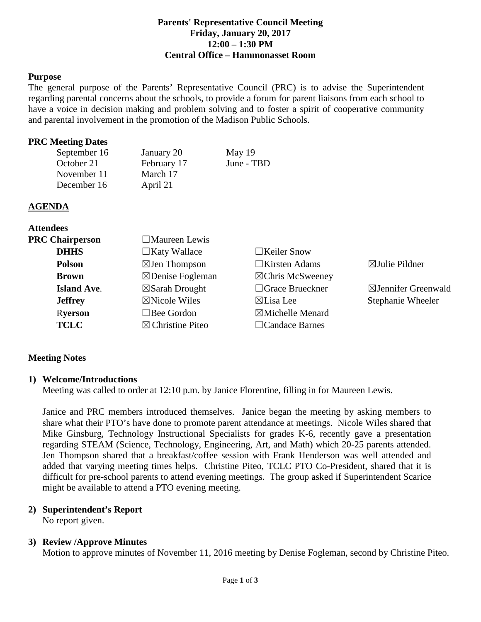#### **Parents' Representative Council Meeting Friday, January 20, 2017 12:00 – 1:30 PM Central Office – Hammonasset Room**

### **Purpose**

The general purpose of the Parents' Representative Council (PRC) is to advise the Superintendent regarding parental concerns about the schools, to provide a forum for parent liaisons from each school to have a voice in decision making and problem solving and to foster a spirit of cooperative community and parental involvement in the promotion of the Madison Public Schools.

#### **PRC Meeting Dates**

| January 20  | May 19     |
|-------------|------------|
| February 17 | June - TBD |
| March 17    |            |
| April 21    |            |
|             |            |

#### **AGENDA**

**Attendees**

| <b>PRC Chairperson</b> | $\Box$ Maureen Lewis        |                             |                                |
|------------------------|-----------------------------|-----------------------------|--------------------------------|
| <b>DHHS</b>            | $\Box$ Katy Wallace         | $\Box$ Keiler Snow          |                                |
| <b>Polson</b>          | $\boxtimes$ Jen Thompson    | $\Box$ Kirsten Adams        | $\boxtimes$ Julie Pildner      |
| <b>Brown</b>           | $\boxtimes$ Denise Fogleman | $\boxtimes$ Chris McSweeney |                                |
| <b>Island Ave.</b>     | $\boxtimes$ Sarah Drought   | $\Box$ Grace Brueckner      | $\boxtimes$ Jennifer Greenwald |
| <b>Jeffrey</b>         | $\boxtimes$ Nicole Wiles    | $\boxtimes$ Lisa Lee        | Stephanie Wheeler              |
| <b>Ryerson</b>         | $\Box$ Bee Gordon           | $\boxtimes$ Michelle Menard |                                |
| <b>TCLC</b>            | $\boxtimes$ Christine Piteo | $\Box$ Candace Barnes       |                                |
|                        |                             |                             |                                |

### **Meeting Notes**

### **1) Welcome/Introductions**

Meeting was called to order at 12:10 p.m. by Janice Florentine, filling in for Maureen Lewis.

Janice and PRC members introduced themselves. Janice began the meeting by asking members to share what their PTO's have done to promote parent attendance at meetings. Nicole Wiles shared that Mike Ginsburg, Technology Instructional Specialists for grades K-6, recently gave a presentation regarding STEAM (Science, Technology, Engineering, Art, and Math) which 20-25 parents attended. Jen Thompson shared that a breakfast/coffee session with Frank Henderson was well attended and added that varying meeting times helps. Christine Piteo, TCLC PTO Co-President, shared that it is difficult for pre-school parents to attend evening meetings. The group asked if Superintendent Scarice might be available to attend a PTO evening meeting.

# **2) Superintendent's Report**

No report given.

# **3) Review /Approve Minutes**

Motion to approve minutes of November 11, 2016 meeting by Denise Fogleman, second by Christine Piteo.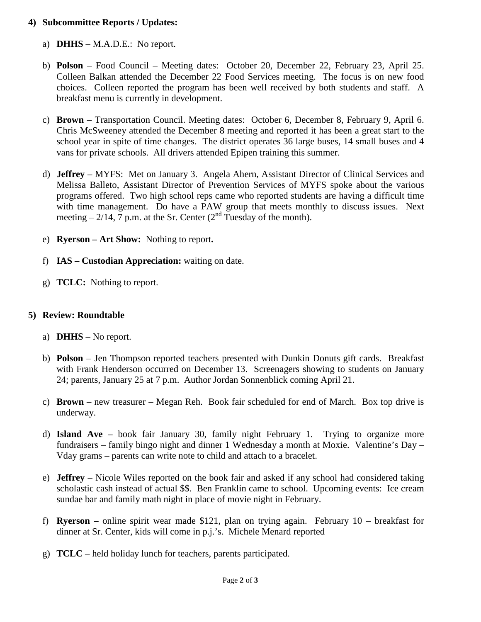## **4) Subcommittee Reports / Updates:**

- a) **DHHS** M.A.D.E.: No report.
- b) **Polson** Food Council Meeting dates: October 20, December 22, February 23, April 25. Colleen Balkan attended the December 22 Food Services meeting. The focus is on new food choices. Colleen reported the program has been well received by both students and staff. A breakfast menu is currently in development.
- c) **Brown** Transportation Council. Meeting dates: October 6, December 8, February 9, April 6. Chris McSweeney attended the December 8 meeting and reported it has been a great start to the school year in spite of time changes. The district operates 36 large buses, 14 small buses and 4 vans for private schools. All drivers attended Epipen training this summer.
- d) **Jeffrey** MYFS: Met on January 3. Angela Ahern, Assistant Director of Clinical Services and Melissa Balleto, Assistant Director of Prevention Services of MYFS spoke about the various programs offered. Two high school reps came who reported students are having a difficult time with time management. Do have a PAW group that meets monthly to discuss issues. Next meeting – 2/14,  $\frac{1}{7}$  p.m. at the Sr. Center (2<sup>nd</sup> Tuesday of the month).
- e) **Ryerson – Art Show:** Nothing to report**.**
- f) **IAS – Custodian Appreciation:** waiting on date.
- g) **TCLC:** Nothing to report.

## **5) Review: Roundtable**

- a) **DHHS** No report.
- b) **Polson** Jen Thompson reported teachers presented with Dunkin Donuts gift cards. Breakfast with Frank Henderson occurred on December 13. Screenagers showing to students on January 24; parents, January 25 at 7 p.m. Author Jordan Sonnenblick coming April 21.
- c) **Brown** new treasurer Megan Reh. Book fair scheduled for end of March. Box top drive is underway.
- d) **Island Ave**  book fair January 30, family night February 1. Trying to organize more fundraisers – family bingo night and dinner 1 Wednesday a month at Moxie. Valentine's Day – Vday grams – parents can write note to child and attach to a bracelet.
- e) **Jeffrey** Nicole Wiles reported on the book fair and asked if any school had considered taking scholastic cash instead of actual \$\$. Ben Franklin came to school. Upcoming events: Ice cream sundae bar and family math night in place of movie night in February.
- f) **Ryerson –** online spirit wear made \$121, plan on trying again. February 10 breakfast for dinner at Sr. Center, kids will come in p.j.'s. Michele Menard reported
- g) **TCLC**  held holiday lunch for teachers, parents participated.